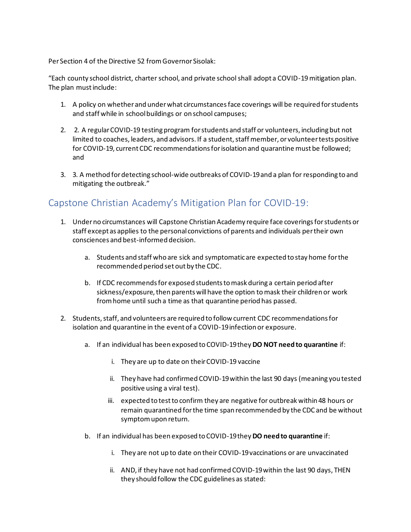Per Section 4 of the Directive 52 from Governor Sisolak:

"Each county school district, charter school, and private school shall adopt a COVID-19 mitigation plan. The plan must include:

- 1. A policy on whether and under what circumstances face coverings will be required for students and staff while in school buildings or on school campuses;
- 2. 2. A regular COVID-19 testing program for students and staff or volunteers, including but not limited to coaches, leaders, and advisors. If a student, staff member, or volunteer tests positive for COVID-19, current CDC recommendations for isolation and quarantine must be followed; and
- 3. 3. A method for detecting school-wide outbreaks of COVID-19 and a plan for responding to and mitigating the outbreak."

## Capstone Christian Academy's Mitigation Plan for COVID-19:

- 1. Under no circumstances will Capstone Christian Academy require face coverings for students or staff except as applies to the personal convictions of parents and individuals per their own consciences and best-informed decision.
	- a. Students and staff who are sick and symptomatic are expected to stay home for the recommended period set out by the CDC.
	- b. If CDC recommends for exposed students to mask during a certain period after sickness/exposure, then parents will have the option to mask their children or work from home until such a time as that quarantine period has passed.
- 2. Students, staff, and volunteers are required to follow current CDC recommendations for isolation and quarantine in the event of a COVID-19 infection or exposure.
	- a. If an individual has been exposed to COVID-19 they **DO NOT need to quarantine** if:
		- i. They are up to date on their COVID-19 vaccine
		- ii. They have had confirmed COVID-19 within the last 90 days (meaning you tested positive using a viral test).
		- iii. expected to test to confirm they are negative for outbreak within 48 hours or remain quarantined for the time span recommended by the CDC and be without symptom upon return.
	- b. If an individual has been exposed to COVID-19 they **DO need to quarantine** if:
		- i. They are not up to date on their COVID-19 vaccinations or are unvaccinated
		- ii. AND, if they have not had confirmed COVID-19 within the last 90 days, THEN they should follow the CDC guidelines as stated: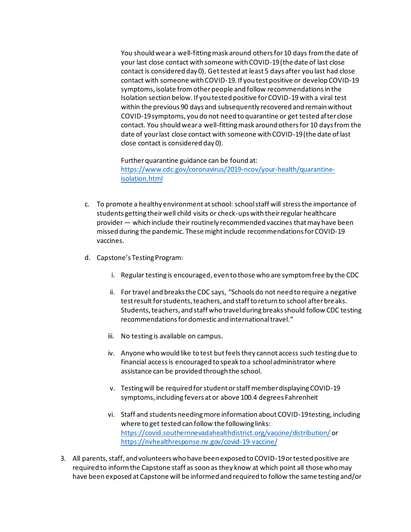You should wear a well-fitting mask around others for 10 days from the date of your last close contact with someone with COVID-19 (the date of last close contact is considered day 0). Get tested at least 5 days after you last had close contact with someone with COVID-19. If you test positive or develop COVID-19 symptoms, isolate from other people and follow recommendations in the Isolation section below. If you tested positive for COVID-19 with a viral test within the previous 90 days and subsequently recovered and remain without COVID-19 symptoms, you do not need to quarantine or get tested after close contact. You should wear a well-fitting mask around others for 10 days from the date of your last close contact with someone with COVID-19 (the date of last close contact is considered day 0).

Further quarantine guidance can be found at: https://www.cdc.gov/coronavirus/2019-ncov/your-health/quarantineisolation.html

- c. To promote a healthy environment at school: school staff will stress the importance of students getting their well child visits or check-ups with their regular healthcare provider — which include their routinely recommended vaccines that may have been missed during the pandemic. These might include recommendations for COVID-19 vaccines.
- d. Capstone's Testing Program:
	- i. Regular testing is encouraged, even to those who are symptom free by the CDC
	- ii. For travel and breaks the CDC says, "Schools do not need to require a negative test result for students, teachers, and staff to return to school after breaks. Students, teachers, and staff who travel during breaks should follow CDC testing recommendations for domestic and international travel."
	- iii. No testing is available on campus.
	- iv. Anyone who would like to test but feels they cannot access such testing due to financial access is encouraged to speak to a school administrator where assistance can be provided through the school.
	- v. Testing will be required for student or staff member displaying COVID-19 symptoms, including fevers at or above 100.4 degrees Fahrenheit
	- vi. Staff and students needing more information about COVID-19 testing, including where to get tested can follow the following links: https://covid.southernnevadahealthdistrict.org/vaccine/distribution/ or https://nvhealthresponse.nv.gov/covid-19-vaccine/
- 3. All parents, staff, and volunteers who have been exposed to COVID-19 or tested positive are required to inform the Capstone staff as soon as they know at which point all those who may have been exposed at Capstone will be informed and required to follow the same testing and/or